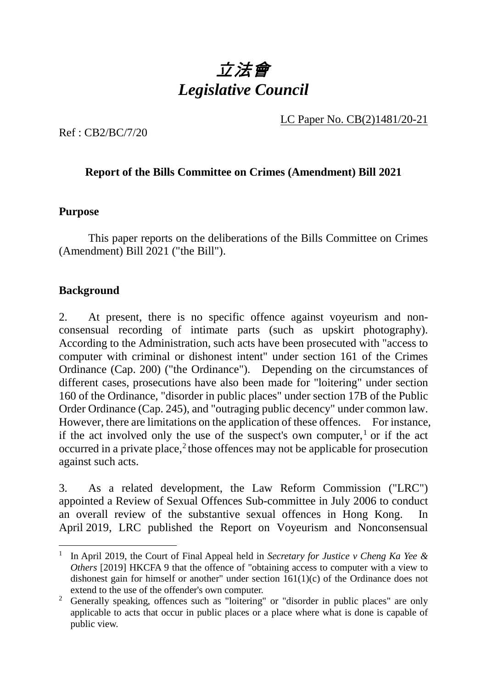

LC Paper No. CB(2)1481/20-21

Ref : CB2/BC/7/20

# **Report of the Bills Committee on Crimes (Amendment) Bill 2021**

#### **Purpose**

1. This paper reports on the deliberations of the Bills Committee on Crimes (Amendment) Bill 2021 ("the Bill").

## **Background**

-

2. At present, there is no specific offence against voyeurism and nonconsensual recording of intimate parts (such as upskirt photography). According to the Administration, such acts have been prosecuted with "access to computer with criminal or dishonest intent" under section 161 of the Crimes Ordinance (Cap. 200) ("the Ordinance"). Depending on the circumstances of different cases, prosecutions have also been made for "loitering" under section 160 of the Ordinance, "disorder in public places" under section 17B of the Public Order Ordinance (Cap. 245), and "outraging public decency" under common law. However, there are limitations on the application of these offences. For instance, if the act involved only the use of the suspect's own computer,<sup>[1](#page-0-0)</sup> or if the act occurred in a private place, $2$  those offences may not be applicable for prosecution against such acts.

3. As a related development, the Law Reform Commission ("LRC") appointed a Review of Sexual Offences Sub-committee in July 2006 to conduct an overall review of the substantive sexual offences in Hong Kong. In April 2019, LRC published the Report on Voyeurism and Nonconsensual

<span id="page-0-0"></span><sup>&</sup>lt;sup>1</sup> In April 2019, the Court of Final Appeal held in *Secretary for Justice v Cheng Ka Yee & Others* [2019] HKCFA 9 that the offence of "obtaining access to computer with a view to dishonest gain for himself or another" under section 161(1)(c) of the Ordinance does not extend to the use of the offender's own computer.

<span id="page-0-1"></span><sup>&</sup>lt;sup>2</sup> Generally speaking, offences such as "loitering" or "disorder in public places" are only applicable to acts that occur in public places or a place where what is done is capable of public view.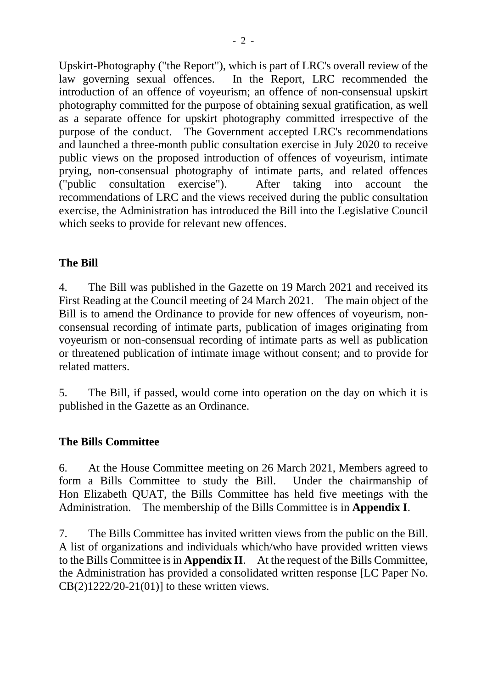Upskirt-Photography ("the Report"), which is part of LRC's overall review of the law governing sexual offences. In the Report, LRC recommended the introduction of an offence of voyeurism; an offence of non-consensual upskirt photography committed for the purpose of obtaining sexual gratification, as well as a separate offence for upskirt photography committed irrespective of the purpose of the conduct. The Government accepted LRC's recommendations and launched a three-month public consultation exercise in July 2020 to receive public views on the proposed introduction of offences of voyeurism, intimate prying, non-consensual photography of intimate parts, and related offences ("public consultation exercise"). After taking into account the recommendations of LRC and the views received during the public consultation exercise, the Administration has introduced the Bill into the Legislative Council which seeks to provide for relevant new offences.

# **The Bill**

4. The Bill was published in the Gazette on 19 March 2021 and received its First Reading at the Council meeting of 24 March 2021. The main object of the Bill is to amend the Ordinance to provide for new offences of voyeurism, nonconsensual recording of intimate parts, publication of images originating from voyeurism or non-consensual recording of intimate parts as well as publication or threatened publication of intimate image without consent; and to provide for related matters.

5. The Bill, if passed, would come into operation on the day on which it is published in the Gazette as an Ordinance.

# **The Bills Committee**

6. At the House Committee meeting on 26 March 2021, Members agreed to form a Bills Committee to study the Bill. Under the chairmanship of Hon Elizabeth QUAT, the Bills Committee has held five meetings with the Administration. The membership of the Bills Committee is in **Appendix I**.

7. The Bills Committee has invited written views from the public on the Bill. A list of organizations and individuals which/who have provided written views to the Bills Committee is in **Appendix II**. At the request of the Bills Committee, the Administration has provided a consolidated written response [LC Paper No. CB(2)1222/20-21(01)] to these written views.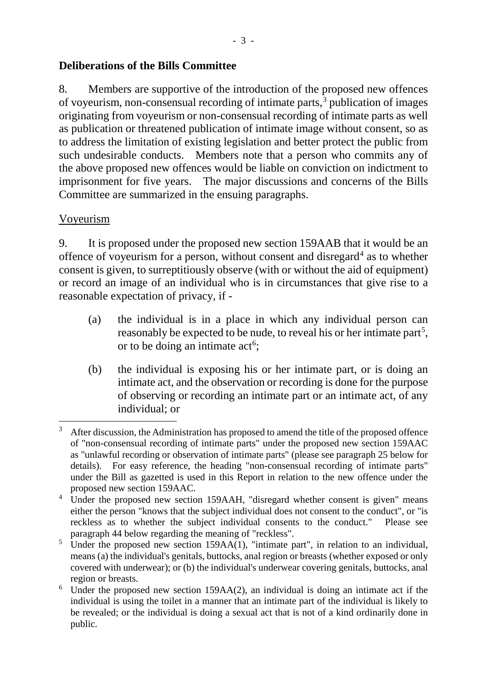# **Deliberations of the Bills Committee**

8. Members are supportive of the introduction of the proposed new offences of voyeurism, non-consensual recording of intimate parts, [3](#page-2-0) publication of images originating from voyeurism or non-consensual recording of intimate parts as well as publication or threatened publication of intimate image without consent, so as to address the limitation of existing legislation and better protect the public from such undesirable conducts. Members note that a person who commits any of the above proposed new offences would be liable on conviction on indictment to imprisonment for five years. The major discussions and concerns of the Bills Committee are summarized in the ensuing paragraphs.

#### Voyeurism

-

9. It is proposed under the proposed new section 159AAB that it would be an offence of voyeurism for a person, without consent and disregard<sup>[4](#page-2-1)</sup> as to whether consent is given, to surreptitiously observe (with or without the aid of equipment) or record an image of an individual who is in circumstances that give rise to a reasonable expectation of privacy, if -

- (a) the individual is in a place in which any individual person can reasonably be expected to be nude, to reveal his or her intimate part<sup>[5](#page-2-2)</sup>, or to be doing an intimate  $act<sup>6</sup>$  $act<sup>6</sup>$  $act<sup>6</sup>$ ;
- (b) the individual is exposing his or her intimate part, or is doing an intimate act, and the observation or recording is done for the purpose of observing or recording an intimate part or an intimate act, of any individual; or

<span id="page-2-0"></span>After discussion, the Administration has proposed to amend the title of the proposed offence of "non-consensual recording of intimate parts" under the proposed new section 159AAC as "unlawful recording or observation of intimate parts" (please see paragraph 25 below for details). For easy reference, the heading "non-consensual recording of intimate parts" under the Bill as gazetted is used in this Report in relation to the new offence under the proposed new section 159AAC.

<span id="page-2-1"></span><sup>&</sup>lt;sup>4</sup> Under the proposed new section 159AAH, "disregard whether consent is given" means either the person "knows that the subject individual does not consent to the conduct", or "is reckless as to whether the subject individual consents to the conduct." Please see paragraph 44 below regarding the meaning of "reckless".

<span id="page-2-2"></span><sup>&</sup>lt;sup>5</sup> Under the proposed new section 159AA(1), "intimate part", in relation to an individual, means (a) the individual's genitals, buttocks, anal region or breasts (whether exposed or only covered with underwear); or (b) the individual's underwear covering genitals, buttocks, anal region or breasts.

<span id="page-2-3"></span> $6$  Under the proposed new section 159AA(2), an individual is doing an intimate act if the individual is using the toilet in a manner that an intimate part of the individual is likely to be revealed; or the individual is doing a sexual act that is not of a kind ordinarily done in public.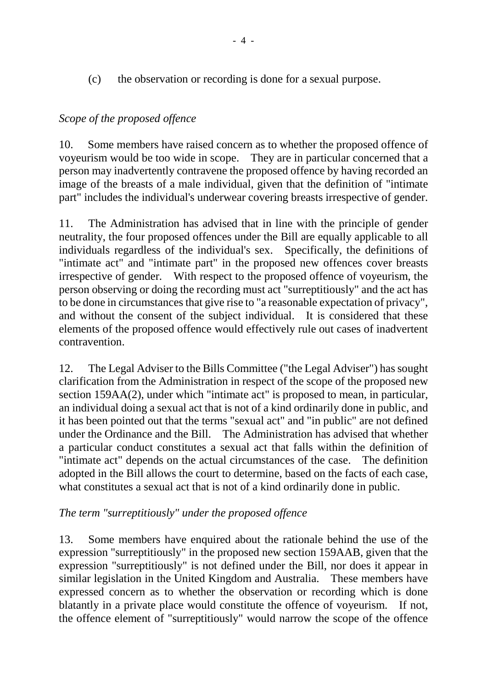(c) the observation or recording is done for a sexual purpose.

# *Scope of the proposed offence*

10. Some members have raised concern as to whether the proposed offence of voyeurism would be too wide in scope. They are in particular concerned that a person may inadvertently contravene the proposed offence by having recorded an image of the breasts of a male individual, given that the definition of "intimate part" includes the individual's underwear covering breasts irrespective of gender.

11. The Administration has advised that in line with the principle of gender neutrality, the four proposed offences under the Bill are equally applicable to all individuals regardless of the individual's sex. Specifically, the definitions of "intimate act" and "intimate part" in the proposed new offences cover breasts irrespective of gender. With respect to the proposed offence of voyeurism, the person observing or doing the recording must act "surreptitiously" and the act has to be done in circumstances that give rise to "a reasonable expectation of privacy", and without the consent of the subject individual. It is considered that these elements of the proposed offence would effectively rule out cases of inadvertent contravention.

12. The Legal Adviser to the Bills Committee ("the Legal Adviser") has sought clarification from the Administration in respect of the scope of the proposed new section 159AA(2), under which "intimate act" is proposed to mean, in particular, an individual doing a sexual act that is not of a kind ordinarily done in public, and it has been pointed out that the terms "sexual act" and "in public" are not defined under the Ordinance and the Bill. The Administration has advised that whether a particular conduct constitutes a sexual act that falls within the definition of "intimate act" depends on the actual circumstances of the case. The definition adopted in the Bill allows the court to determine, based on the facts of each case, what constitutes a sexual act that is not of a kind ordinarily done in public.

# *The term "surreptitiously" under the proposed offence*

13. Some members have enquired about the rationale behind the use of the expression "surreptitiously" in the proposed new section 159AAB, given that the expression "surreptitiously" is not defined under the Bill, nor does it appear in similar legislation in the United Kingdom and Australia. These members have expressed concern as to whether the observation or recording which is done blatantly in a private place would constitute the offence of voyeurism. If not, the offence element of "surreptitiously" would narrow the scope of the offence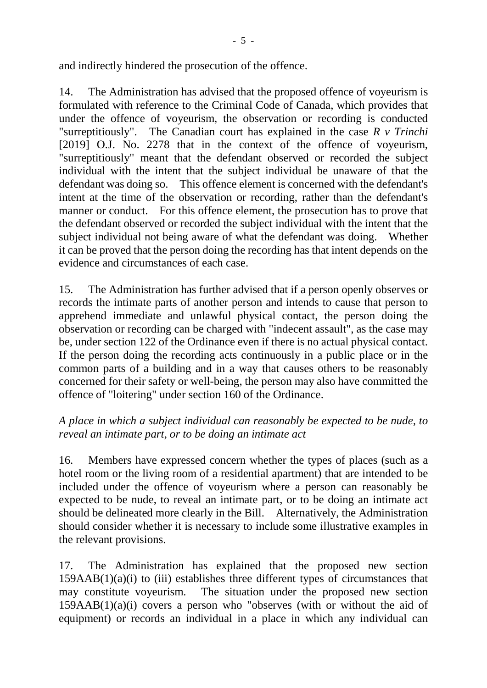and indirectly hindered the prosecution of the offence.

14. The Administration has advised that the proposed offence of voyeurism is formulated with reference to the Criminal Code of Canada, which provides that under the offence of voyeurism, the observation or recording is conducted "surreptitiously". The Canadian court has explained in the case *R v Trinchi* [2019] O.J. No. 2278 that in the context of the offence of voyeurism, "surreptitiously" meant that the defendant observed or recorded the subject individual with the intent that the subject individual be unaware of that the defendant was doing so. This offence element is concerned with the defendant's intent at the time of the observation or recording, rather than the defendant's manner or conduct. For this offence element, the prosecution has to prove that the defendant observed or recorded the subject individual with the intent that the subject individual not being aware of what the defendant was doing. Whether it can be proved that the person doing the recording has that intent depends on the evidence and circumstances of each case.

15. The Administration has further advised that if a person openly observes or records the intimate parts of another person and intends to cause that person to apprehend immediate and unlawful physical contact, the person doing the observation or recording can be charged with "indecent assault", as the case may be, under section 122 of the Ordinance even if there is no actual physical contact. If the person doing the recording acts continuously in a public place or in the common parts of a building and in a way that causes others to be reasonably concerned for their safety or well-being, the person may also have committed the offence of "loitering" under section 160 of the Ordinance.

# *A place in which a subject individual can reasonably be expected to be nude, to reveal an intimate part, or to be doing an intimate act*

16. Members have expressed concern whether the types of places (such as a hotel room or the living room of a residential apartment) that are intended to be included under the offence of voyeurism where a person can reasonably be expected to be nude, to reveal an intimate part, or to be doing an intimate act should be delineated more clearly in the Bill. Alternatively, the Administration should consider whether it is necessary to include some illustrative examples in the relevant provisions.

17. The Administration has explained that the proposed new section  $159AAB(1)(a)(i)$  to (iii) establishes three different types of circumstances that may constitute voyeurism. The situation under the proposed new section  $159AAB(1)(a)(i)$  covers a person who "observes (with or without the aid of equipment) or records an individual in a place in which any individual can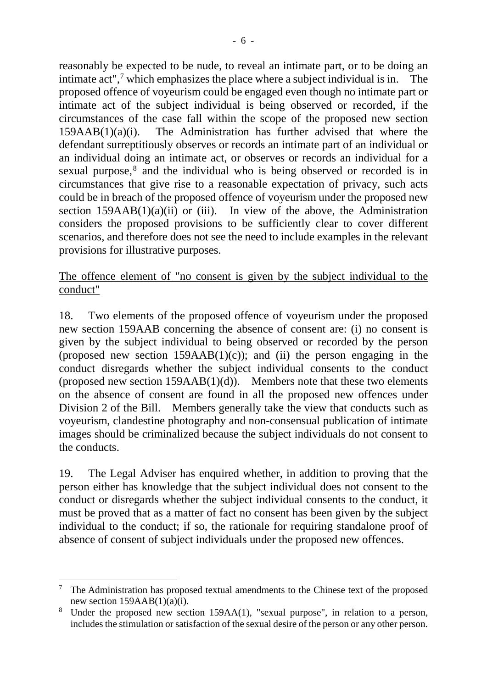reasonably be expected to be nude, to reveal an intimate part, or to be doing an intimate act", [7](#page-5-0) which emphasizes the place where a subject individual is in. The proposed offence of voyeurism could be engaged even though no intimate part or intimate act of the subject individual is being observed or recorded, if the circumstances of the case fall within the scope of the proposed new section 159AAB(1)(a)(i). The Administration has further advised that where the defendant surreptitiously observes or records an intimate part of an individual or an individual doing an intimate act, or observes or records an individual for a sexual purpose, [8](#page-5-1) and the individual who is being observed or recorded is in circumstances that give rise to a reasonable expectation of privacy, such acts could be in breach of the proposed offence of voyeurism under the proposed new section  $159AAB(1)(a)(ii)$  or (iii). In view of the above, the Administration considers the proposed provisions to be sufficiently clear to cover different scenarios, and therefore does not see the need to include examples in the relevant provisions for illustrative purposes.

# The offence element of "no consent is given by the subject individual to the conduct"

18. Two elements of the proposed offence of voyeurism under the proposed new section 159AAB concerning the absence of consent are: (i) no consent is given by the subject individual to being observed or recorded by the person (proposed new section  $159AAB(1)(c)$ ); and (ii) the person engaging in the conduct disregards whether the subject individual consents to the conduct (proposed new section  $159AAB(1)(d)$ ). Members note that these two elements on the absence of consent are found in all the proposed new offences under Division 2 of the Bill. Members generally take the view that conducts such as voyeurism, clandestine photography and non-consensual publication of intimate images should be criminalized because the subject individuals do not consent to the conducts.

19. The Legal Adviser has enquired whether, in addition to proving that the person either has knowledge that the subject individual does not consent to the conduct or disregards whether the subject individual consents to the conduct, it must be proved that as a matter of fact no consent has been given by the subject individual to the conduct; if so, the rationale for requiring standalone proof of absence of consent of subject individuals under the proposed new offences.

-

<span id="page-5-0"></span> $7$  The Administration has proposed textual amendments to the Chinese text of the proposed

<span id="page-5-1"></span>new section 159AAB(1)(a)(i).<br>Under the proposed new section 159AA(1), "sexual purpose", in relation to a person, includes the stimulation or satisfaction of the sexual desire of the person or any other person.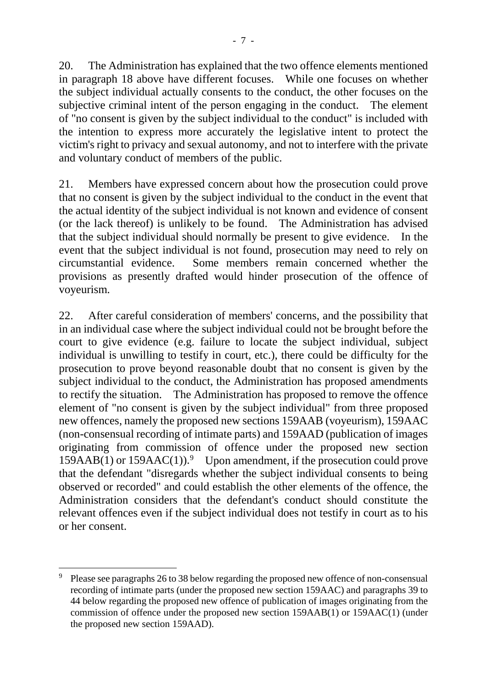20. The Administration has explained that the two offence elements mentioned in paragraph 18 above have different focuses. While one focuses on whether the subject individual actually consents to the conduct, the other focuses on the subjective criminal intent of the person engaging in the conduct. The element of "no consent is given by the subject individual to the conduct" is included with the intention to express more accurately the legislative intent to protect the victim's right to privacy and sexual autonomy, and not to interfere with the private and voluntary conduct of members of the public.

21. Members have expressed concern about how the prosecution could prove that no consent is given by the subject individual to the conduct in the event that the actual identity of the subject individual is not known and evidence of consent (or the lack thereof) is unlikely to be found. The Administration has advised that the subject individual should normally be present to give evidence. In the event that the subject individual is not found, prosecution may need to rely on circumstantial evidence. Some members remain concerned whether the provisions as presently drafted would hinder prosecution of the offence of voyeurism.

22. After careful consideration of members' concerns, and the possibility that in an individual case where the subject individual could not be brought before the court to give evidence (e.g. failure to locate the subject individual, subject individual is unwilling to testify in court, etc.), there could be difficulty for the prosecution to prove beyond reasonable doubt that no consent is given by the subject individual to the conduct, the Administration has proposed amendments to rectify the situation. The Administration has proposed to remove the offence element of "no consent is given by the subject individual" from three proposed new offences, namely the proposed new sections 159AAB (voyeurism), 159AAC (non-consensual recording of intimate parts) and 159AAD (publication of images originating from commission of offence under the proposed new section  $159AAB(1)$  $159AAB(1)$  $159AAB(1)$  or  $159AAC(1)$ .<sup>9</sup> Upon amendment, if the prosecution could prove that the defendant "disregards whether the subject individual consents to being observed or recorded" and could establish the other elements of the offence, the Administration considers that the defendant's conduct should constitute the relevant offences even if the subject individual does not testify in court as to his or her consent.

1

<span id="page-6-0"></span><sup>9</sup> Please see paragraphs 26 to 38 below regarding the proposed new offence of non-consensual recording of intimate parts (under the proposed new section 159AAC) and paragraphs 39 to 44 below regarding the proposed new offence of publication of images originating from the commission of offence under the proposed new section 159AAB(1) or 159AAC(1) (under the proposed new section 159AAD).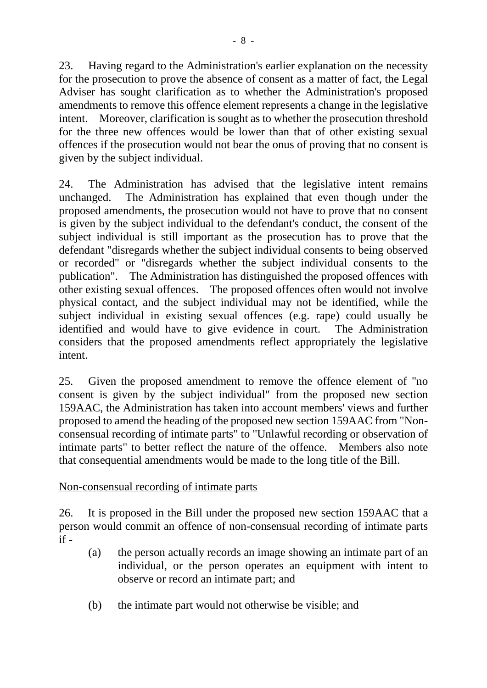23. Having regard to the Administration's earlier explanation on the necessity for the prosecution to prove the absence of consent as a matter of fact, the Legal Adviser has sought clarification as to whether the Administration's proposed amendments to remove this offence element represents a change in the legislative intent. Moreover, clarification is sought as to whether the prosecution threshold for the three new offences would be lower than that of other existing sexual offences if the prosecution would not bear the onus of proving that no consent is given by the subject individual.

24. The Administration has advised that the legislative intent remains unchanged. The Administration has explained that even though under the proposed amendments, the prosecution would not have to prove that no consent is given by the subject individual to the defendant's conduct, the consent of the subject individual is still important as the prosecution has to prove that the defendant "disregards whether the subject individual consents to being observed or recorded" or "disregards whether the subject individual consents to the publication". The Administration has distinguished the proposed offences with other existing sexual offences. The proposed offences often would not involve physical contact, and the subject individual may not be identified, while the subject individual in existing sexual offences (e.g. rape) could usually be identified and would have to give evidence in court. The Administration considers that the proposed amendments reflect appropriately the legislative intent.

25. Given the proposed amendment to remove the offence element of "no consent is given by the subject individual" from the proposed new section 159AAC, the Administration has taken into account members' views and further proposed to amend the heading of the proposed new section 159AAC from "Nonconsensual recording of intimate parts" to "Unlawful recording or observation of intimate parts" to better reflect the nature of the offence. Members also note that consequential amendments would be made to the long title of the Bill.

# Non-consensual recording of intimate parts

26. It is proposed in the Bill under the proposed new section 159AAC that a person would commit an offence of non-consensual recording of intimate parts  $if -$ 

- (a) the person actually records an image showing an intimate part of an individual, or the person operates an equipment with intent to observe or record an intimate part; and
- (b) the intimate part would not otherwise be visible; and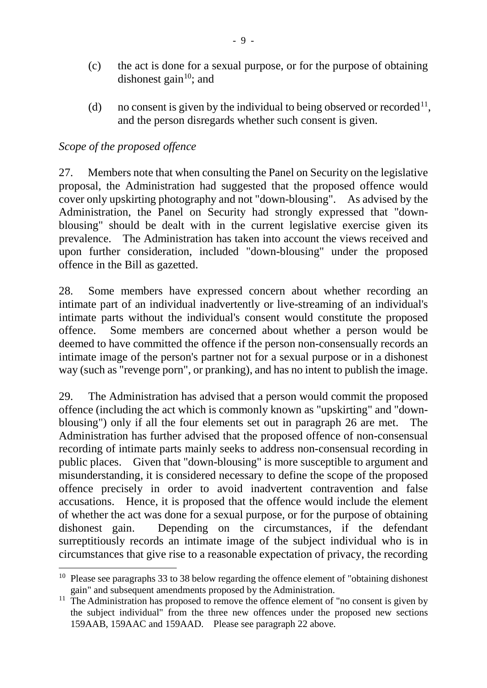- (c) the act is done for a sexual purpose, or for the purpose of obtaining dishonest gain $10$ ; and
- (d) no consent is given by the individual to being observed or recorded<sup>[11](#page-8-1)</sup>, and the person disregards whether such consent is given.

## *Scope of the proposed offence*

1

27. Members note that when consulting the Panel on Security on the legislative proposal, the Administration had suggested that the proposed offence would cover only upskirting photography and not "down-blousing". As advised by the Administration, the Panel on Security had strongly expressed that "downblousing" should be dealt with in the current legislative exercise given its prevalence. The Administration has taken into account the views received and upon further consideration, included "down-blousing" under the proposed offence in the Bill as gazetted.

28. Some members have expressed concern about whether recording an intimate part of an individual inadvertently or live-streaming of an individual's intimate parts without the individual's consent would constitute the proposed offence. Some members are concerned about whether a person would be deemed to have committed the offence if the person non-consensually records an intimate image of the person's partner not for a sexual purpose or in a dishonest way (such as "revenge porn", or pranking), and has no intent to publish the image.

29. The Administration has advised that a person would commit the proposed offence (including the act which is commonly known as "upskirting" and "downblousing") only if all the four elements set out in paragraph 26 are met. The Administration has further advised that the proposed offence of non-consensual recording of intimate parts mainly seeks to address non-consensual recording in public places. Given that "down-blousing" is more susceptible to argument and misunderstanding, it is considered necessary to define the scope of the proposed offence precisely in order to avoid inadvertent contravention and false accusations. Hence, it is proposed that the offence would include the element of whether the act was done for a sexual purpose, or for the purpose of obtaining dishonest gain. Depending on the circumstances, if the defendant surreptitiously records an intimate image of the subject individual who is in circumstances that give rise to a reasonable expectation of privacy, the recording

<span id="page-8-0"></span> $10$  Please see paragraphs 33 to 38 below regarding the offence element of "obtaining dishonest" gain" and subsequent amendments proposed by the Administration.

<span id="page-8-1"></span><sup>&</sup>lt;sup>11</sup> The Administration has proposed to remove the offence element of "no consent is given by the subject individual" from the three new offences under the proposed new sections 159AAB, 159AAC and 159AAD. Please see paragraph 22 above.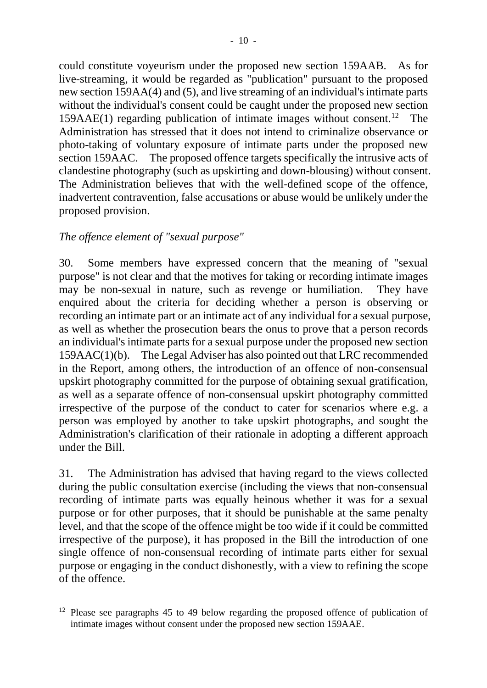could constitute voyeurism under the proposed new section 159AAB. As for live-streaming, it would be regarded as "publication" pursuant to the proposed new section 159AA(4) and (5), and live streaming of an individual's intimate parts without the individual's consent could be caught under the proposed new section 159AAE(1) regarding publication of intimate images without consent.<sup>[12](#page-9-0)</sup> The Administration has stressed that it does not intend to criminalize observance or photo-taking of voluntary exposure of intimate parts under the proposed new section 159AAC. The proposed offence targets specifically the intrusive acts of clandestine photography (such as upskirting and down-blousing) without consent. The Administration believes that with the well-defined scope of the offence, inadvertent contravention, false accusations or abuse would be unlikely under the proposed provision.

# *The offence element of "sexual purpose"*

-

30. Some members have expressed concern that the meaning of "sexual purpose" is not clear and that the motives for taking or recording intimate images may be non-sexual in nature, such as revenge or humiliation. They have enquired about the criteria for deciding whether a person is observing or recording an intimate part or an intimate act of any individual for a sexual purpose, as well as whether the prosecution bears the onus to prove that a person records an individual's intimate parts for a sexual purpose under the proposed new section 159AAC(1)(b). The Legal Adviser has also pointed out that LRC recommended in the Report, among others, the introduction of an offence of non-consensual upskirt photography committed for the purpose of obtaining sexual gratification, as well as a separate offence of non-consensual upskirt photography committed irrespective of the purpose of the conduct to cater for scenarios where e.g. a person was employed by another to take upskirt photographs, and sought the Administration's clarification of their rationale in adopting a different approach under the Bill.

31. The Administration has advised that having regard to the views collected during the public consultation exercise (including the views that non-consensual recording of intimate parts was equally heinous whether it was for a sexual purpose or for other purposes, that it should be punishable at the same penalty level, and that the scope of the offence might be too wide if it could be committed irrespective of the purpose), it has proposed in the Bill the introduction of one single offence of non-consensual recording of intimate parts either for sexual purpose or engaging in the conduct dishonestly, with a view to refining the scope of the offence.

<span id="page-9-0"></span> $12$  Please see paragraphs 45 to 49 below regarding the proposed offence of publication of intimate images without consent under the proposed new section 159AAE.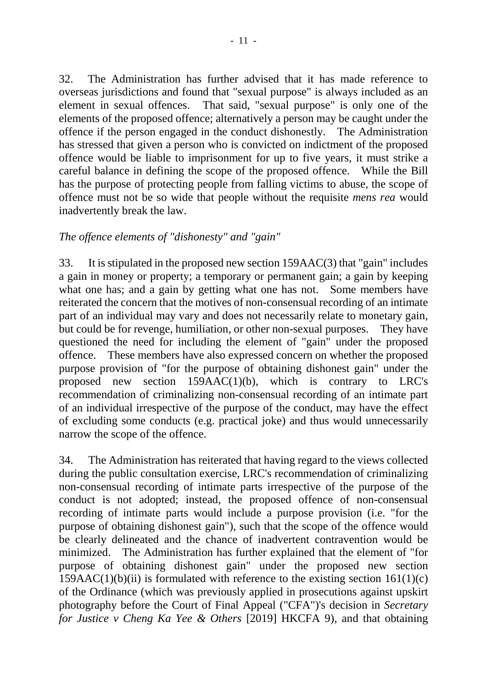32. The Administration has further advised that it has made reference to overseas jurisdictions and found that "sexual purpose" is always included as an element in sexual offences. That said, "sexual purpose" is only one of the elements of the proposed offence; alternatively a person may be caught under the offence if the person engaged in the conduct dishonestly. The Administration has stressed that given a person who is convicted on indictment of the proposed offence would be liable to imprisonment for up to five years, it must strike a careful balance in defining the scope of the proposed offence. While the Bill has the purpose of protecting people from falling victims to abuse, the scope of offence must not be so wide that people without the requisite *mens rea* would inadvertently break the law.

## *The offence elements of "dishonesty" and "gain"*

33. It is stipulated in the proposed new section 159AAC(3) that "gain" includes a gain in money or property; a temporary or permanent gain; a gain by keeping what one has; and a gain by getting what one has not. Some members have reiterated the concern that the motives of non-consensual recording of an intimate part of an individual may vary and does not necessarily relate to monetary gain, but could be for revenge, humiliation, or other non-sexual purposes. They have questioned the need for including the element of "gain" under the proposed offence. These members have also expressed concern on whether the proposed purpose provision of "for the purpose of obtaining dishonest gain" under the proposed new section 159AAC(1)(b), which is contrary to LRC's recommendation of criminalizing non-consensual recording of an intimate part of an individual irrespective of the purpose of the conduct, may have the effect of excluding some conducts (e.g. practical joke) and thus would unnecessarily narrow the scope of the offence.

34. The Administration has reiterated that having regard to the views collected during the public consultation exercise, LRC's recommendation of criminalizing non-consensual recording of intimate parts irrespective of the purpose of the conduct is not adopted; instead, the proposed offence of non-consensual recording of intimate parts would include a purpose provision (i.e. "for the purpose of obtaining dishonest gain"), such that the scope of the offence would be clearly delineated and the chance of inadvertent contravention would be minimized. The Administration has further explained that the element of "for purpose of obtaining dishonest gain" under the proposed new section  $159AAC(1)(b)(ii)$  is formulated with reference to the existing section  $161(1)(c)$ of the Ordinance (which was previously applied in prosecutions against upskirt photography before the Court of Final Appeal ("CFA")'s decision in *Secretary for Justice v Cheng Ka Yee & Others* [2019] HKCFA 9), and that obtaining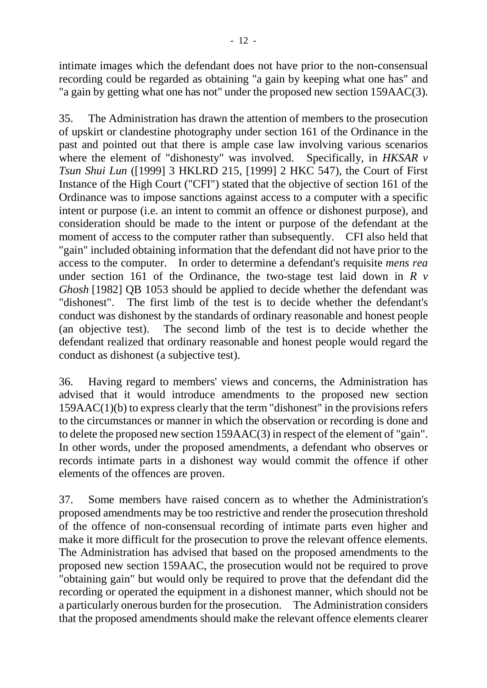intimate images which the defendant does not have prior to the non-consensual recording could be regarded as obtaining "a gain by keeping what one has" and "a gain by getting what one has not" under the proposed new section 159AAC(3).

35. The Administration has drawn the attention of members to the prosecution of upskirt or clandestine photography under section 161 of the Ordinance in the past and pointed out that there is ample case law involving various scenarios where the element of "dishonesty" was involved. Specifically, in *HKSAR v Tsun Shui Lun* ([1999] 3 HKLRD 215, [1999] 2 HKC 547), the Court of First Instance of the High Court ("CFI") stated that the objective of section 161 of the Ordinance was to impose sanctions against access to a computer with a specific intent or purpose (i.e. an intent to commit an offence or dishonest purpose), and consideration should be made to the intent or purpose of the defendant at the moment of access to the computer rather than subsequently. CFI also held that "gain" included obtaining information that the defendant did not have prior to the access to the computer. In order to determine a defendant's requisite *mens rea* under section 161 of the Ordinance, the two-stage test laid down in *R v Ghosh* [1982] QB 1053 should be applied to decide whether the defendant was "dishonest". The first limb of the test is to decide whether the defendant's conduct was dishonest by the standards of ordinary reasonable and honest people (an objective test). The second limb of the test is to decide whether the defendant realized that ordinary reasonable and honest people would regard the conduct as dishonest (a subjective test).

36. Having regard to members' views and concerns, the Administration has advised that it would introduce amendments to the proposed new section 159AAC(1)(b) to express clearly that the term "dishonest" in the provisions refers to the circumstances or manner in which the observation or recording is done and to delete the proposed new section 159AAC(3) in respect of the element of "gain". In other words, under the proposed amendments, a defendant who observes or records intimate parts in a dishonest way would commit the offence if other elements of the offences are proven.

37. Some members have raised concern as to whether the Administration's proposed amendments may be too restrictive and render the prosecution threshold of the offence of non-consensual recording of intimate parts even higher and make it more difficult for the prosecution to prove the relevant offence elements. The Administration has advised that based on the proposed amendments to the proposed new section 159AAC, the prosecution would not be required to prove "obtaining gain" but would only be required to prove that the defendant did the recording or operated the equipment in a dishonest manner, which should not be a particularly onerous burden for the prosecution. The Administration considers that the proposed amendments should make the relevant offence elements clearer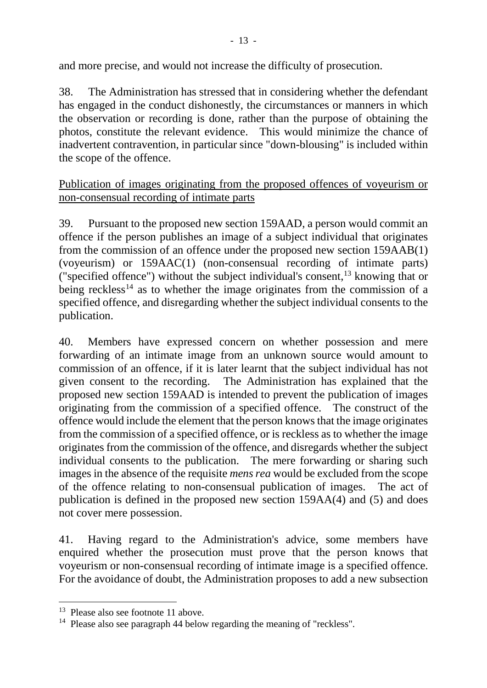and more precise, and would not increase the difficulty of prosecution.

38. The Administration has stressed that in considering whether the defendant has engaged in the conduct dishonestly, the circumstances or manners in which the observation or recording is done, rather than the purpose of obtaining the photos, constitute the relevant evidence. This would minimize the chance of inadvertent contravention, in particular since "down-blousing" is included within the scope of the offence.

Publication of images originating from the proposed offences of voyeurism or non-consensual recording of intimate parts

39. Pursuant to the proposed new section 159AAD, a person would commit an offence if the person publishes an image of a subject individual that originates from the commission of an offence under the proposed new section 159AAB(1) (voyeurism) or 159AAC(1) (non-consensual recording of intimate parts) ("specified offence") without the subject individual's consent, [13](#page-12-0) knowing that or being reckless<sup>[14](#page-12-1)</sup> as to whether the image originates from the commission of a specified offence, and disregarding whether the subject individual consents to the publication.

40. Members have expressed concern on whether possession and mere forwarding of an intimate image from an unknown source would amount to commission of an offence, if it is later learnt that the subject individual has not given consent to the recording. The Administration has explained that the proposed new section 159AAD is intended to prevent the publication of images originating from the commission of a specified offence. The construct of the offence would include the element that the person knows that the image originates from the commission of a specified offence, or is reckless as to whether the image originates from the commission of the offence, and disregards whether the subject individual consents to the publication. The mere forwarding or sharing such images in the absence of the requisite *mens rea* would be excluded from the scope of the offence relating to non-consensual publication of images. The act of publication is defined in the proposed new section 159AA(4) and (5) and does not cover mere possession.

41. Having regard to the Administration's advice, some members have enquired whether the prosecution must prove that the person knows that voyeurism or non-consensual recording of intimate image is a specified offence. For the avoidance of doubt, the Administration proposes to add a new subsection

-

<span id="page-12-0"></span><sup>&</sup>lt;sup>13</sup> Please also see footnote 11 above.

<span id="page-12-1"></span><sup>&</sup>lt;sup>14</sup> Please also see paragraph 44 below regarding the meaning of "reckless".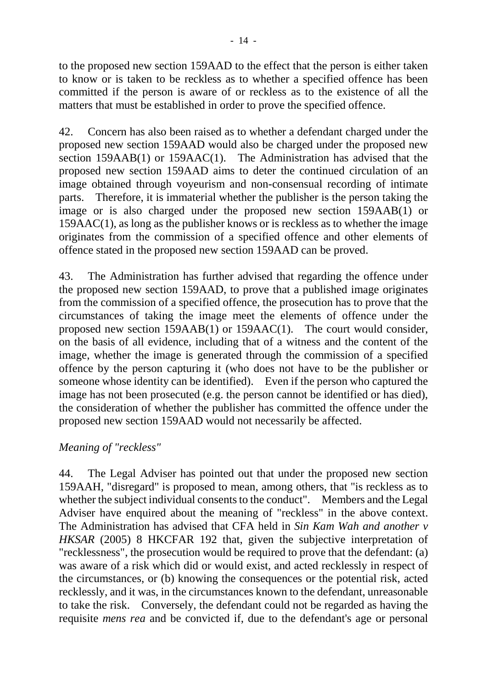to the proposed new section 159AAD to the effect that the person is either taken to know or is taken to be reckless as to whether a specified offence has been committed if the person is aware of or reckless as to the existence of all the matters that must be established in order to prove the specified offence.

42. Concern has also been raised as to whether a defendant charged under the proposed new section 159AAD would also be charged under the proposed new section 159AAB(1) or 159AAC(1). The Administration has advised that the proposed new section 159AAD aims to deter the continued circulation of an image obtained through voyeurism and non-consensual recording of intimate parts. Therefore, it is immaterial whether the publisher is the person taking the image or is also charged under the proposed new section 159AAB(1) or 159AAC(1), as long as the publisher knows or is reckless as to whether the image originates from the commission of a specified offence and other elements of offence stated in the proposed new section 159AAD can be proved.

43. The Administration has further advised that regarding the offence under the proposed new section 159AAD, to prove that a published image originates from the commission of a specified offence, the prosecution has to prove that the circumstances of taking the image meet the elements of offence under the proposed new section 159AAB(1) or 159AAC(1). The court would consider, on the basis of all evidence, including that of a witness and the content of the image, whether the image is generated through the commission of a specified offence by the person capturing it (who does not have to be the publisher or someone whose identity can be identified). Even if the person who captured the image has not been prosecuted (e.g. the person cannot be identified or has died), the consideration of whether the publisher has committed the offence under the proposed new section 159AAD would not necessarily be affected.

#### *Meaning of "reckless"*

44. The Legal Adviser has pointed out that under the proposed new section 159AAH, "disregard" is proposed to mean, among others, that "is reckless as to whether the subject individual consents to the conduct". Members and the Legal Adviser have enquired about the meaning of "reckless" in the above context. The Administration has advised that CFA held in *Sin Kam Wah and another v HKSAR* (2005) 8 HKCFAR 192 that, given the subjective interpretation of "recklessness", the prosecution would be required to prove that the defendant: (a) was aware of a risk which did or would exist, and acted recklessly in respect of the circumstances, or (b) knowing the consequences or the potential risk, acted recklessly, and it was, in the circumstances known to the defendant, unreasonable to take the risk. Conversely, the defendant could not be regarded as having the requisite *mens rea* and be convicted if, due to the defendant's age or personal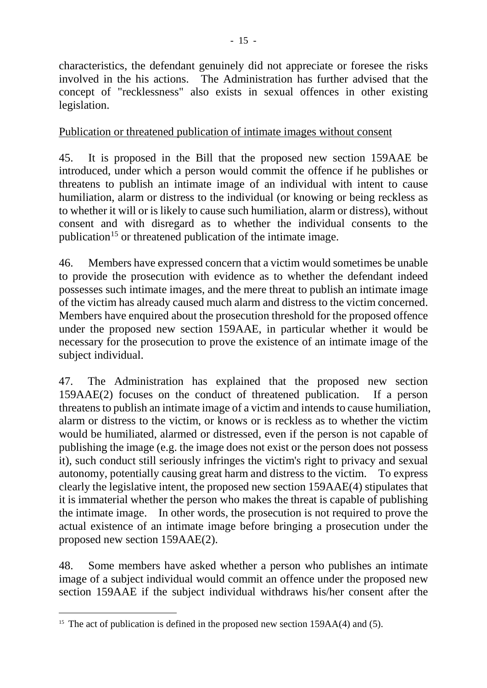characteristics, the defendant genuinely did not appreciate or foresee the risks involved in the his actions. The Administration has further advised that the concept of "recklessness" also exists in sexual offences in other existing legislation.

# Publication or threatened publication of intimate images without consent

45. It is proposed in the Bill that the proposed new section 159AAE be introduced, under which a person would commit the offence if he publishes or threatens to publish an intimate image of an individual with intent to cause humiliation, alarm or distress to the individual (or knowing or being reckless as to whether it will or is likely to cause such humiliation, alarm or distress), without consent and with disregard as to whether the individual consents to the publication<sup>15</sup> or threatened publication of the intimate image.

46. Members have expressed concern that a victim would sometimes be unable to provide the prosecution with evidence as to whether the defendant indeed possesses such intimate images, and the mere threat to publish an intimate image of the victim has already caused much alarm and distress to the victim concerned. Members have enquired about the prosecution threshold for the proposed offence under the proposed new section 159AAE, in particular whether it would be necessary for the prosecution to prove the existence of an intimate image of the subject individual.

47. The Administration has explained that the proposed new section 159AAE(2) focuses on the conduct of threatened publication. If a person threatens to publish an intimate image of a victim and intends to cause humiliation, alarm or distress to the victim, or knows or is reckless as to whether the victim would be humiliated, alarmed or distressed, even if the person is not capable of publishing the image (e.g. the image does not exist or the person does not possess it), such conduct still seriously infringes the victim's right to privacy and sexual autonomy, potentially causing great harm and distress to the victim. To express clearly the legislative intent, the proposed new section 159AAE(4) stipulates that it is immaterial whether the person who makes the threat is capable of publishing the intimate image. In other words, the prosecution is not required to prove the actual existence of an intimate image before bringing a prosecution under the proposed new section 159AAE(2).

48. Some members have asked whether a person who publishes an intimate image of a subject individual would commit an offence under the proposed new section 159AAE if the subject individual withdraws his/her consent after the

1

<span id="page-14-0"></span><sup>&</sup>lt;sup>15</sup> The act of publication is defined in the proposed new section  $159AA(4)$  and (5).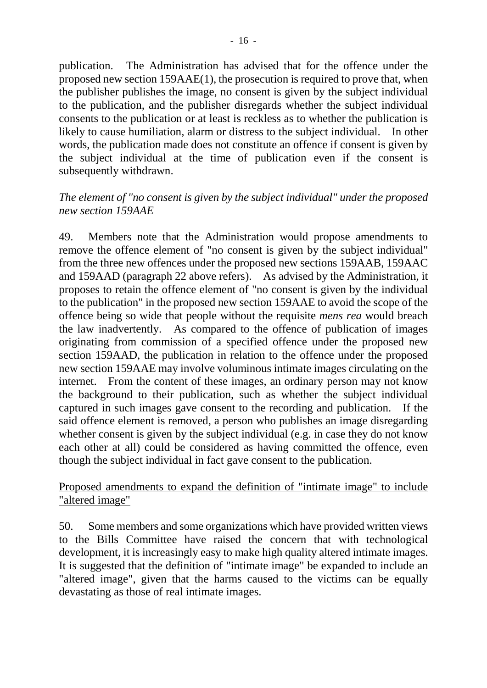publication. The Administration has advised that for the offence under the proposed new section 159AAE(1), the prosecution is required to prove that, when the publisher publishes the image, no consent is given by the subject individual to the publication, and the publisher disregards whether the subject individual consents to the publication or at least is reckless as to whether the publication is likely to cause humiliation, alarm or distress to the subject individual. In other words, the publication made does not constitute an offence if consent is given by the subject individual at the time of publication even if the consent is subsequently withdrawn.

## *The element of "no consent is given by the subject individual" under the proposed new section 159AAE*

49. Members note that the Administration would propose amendments to remove the offence element of "no consent is given by the subject individual" from the three new offences under the proposed new sections 159AAB, 159AAC and 159AAD (paragraph 22 above refers). As advised by the Administration, it proposes to retain the offence element of "no consent is given by the individual to the publication" in the proposed new section 159AAE to avoid the scope of the offence being so wide that people without the requisite *mens rea* would breach the law inadvertently. As compared to the offence of publication of images originating from commission of a specified offence under the proposed new section 159AAD, the publication in relation to the offence under the proposed new section 159AAE may involve voluminous intimate images circulating on the internet. From the content of these images, an ordinary person may not know the background to their publication, such as whether the subject individual captured in such images gave consent to the recording and publication. If the said offence element is removed, a person who publishes an image disregarding whether consent is given by the subject individual (e.g. in case they do not know each other at all) could be considered as having committed the offence, even though the subject individual in fact gave consent to the publication.

#### Proposed amendments to expand the definition of "intimate image" to include "altered image"

50. Some members and some organizations which have provided written views to the Bills Committee have raised the concern that with technological development, it is increasingly easy to make high quality altered intimate images. It is suggested that the definition of "intimate image" be expanded to include an "altered image", given that the harms caused to the victims can be equally devastating as those of real intimate images.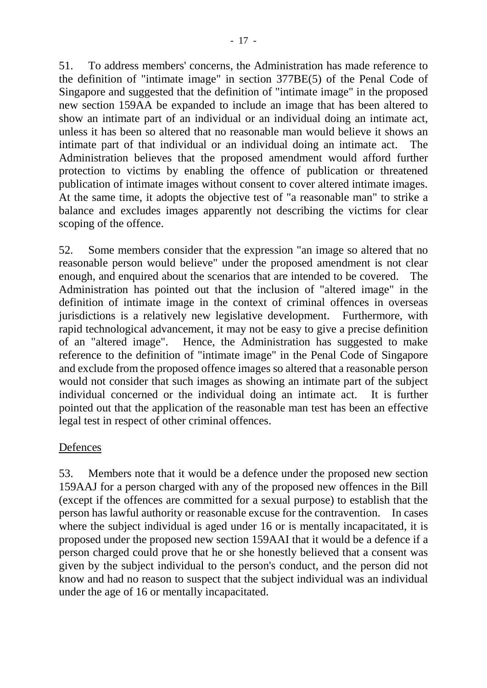51. To address members' concerns, the Administration has made reference to the definition of "intimate image" in section 377BE(5) of the Penal Code of Singapore and suggested that the definition of "intimate image" in the proposed new section 159AA be expanded to include an image that has been altered to show an intimate part of an individual or an individual doing an intimate act, unless it has been so altered that no reasonable man would believe it shows an intimate part of that individual or an individual doing an intimate act. Administration believes that the proposed amendment would afford further protection to victims by enabling the offence of publication or threatened publication of intimate images without consent to cover altered intimate images. At the same time, it adopts the objective test of "a reasonable man" to strike a balance and excludes images apparently not describing the victims for clear scoping of the offence.

52. Some members consider that the expression "an image so altered that no reasonable person would believe" under the proposed amendment is not clear enough, and enquired about the scenarios that are intended to be covered. The Administration has pointed out that the inclusion of "altered image" in the definition of intimate image in the context of criminal offences in overseas jurisdictions is a relatively new legislative development. Furthermore, with rapid technological advancement, it may not be easy to give a precise definition of an "altered image". Hence, the Administration has suggested to make reference to the definition of "intimate image" in the Penal Code of Singapore and exclude from the proposed offence images so altered that a reasonable person would not consider that such images as showing an intimate part of the subject individual concerned or the individual doing an intimate act. It is further pointed out that the application of the reasonable man test has been an effective legal test in respect of other criminal offences.

# Defences

53. Members note that it would be a defence under the proposed new section 159AAJ for a person charged with any of the proposed new offences in the Bill (except if the offences are committed for a sexual purpose) to establish that the person has lawful authority or reasonable excuse for the contravention. In cases where the subject individual is aged under 16 or is mentally incapacitated, it is proposed under the proposed new section 159AAI that it would be a defence if a person charged could prove that he or she honestly believed that a consent was given by the subject individual to the person's conduct, and the person did not know and had no reason to suspect that the subject individual was an individual under the age of 16 or mentally incapacitated.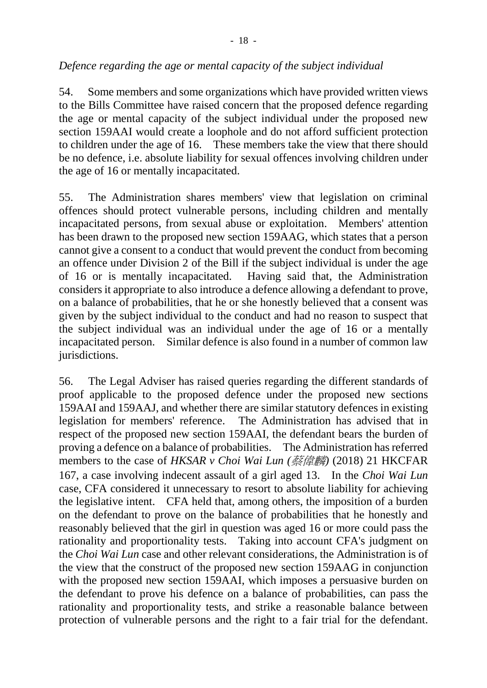#### *Defence regarding the age or mental capacity of the subject individual*

54. Some members and some organizations which have provided written views to the Bills Committee have raised concern that the proposed defence regarding the age or mental capacity of the subject individual under the proposed new section 159AAI would create a loophole and do not afford sufficient protection to children under the age of 16. These members take the view that there should be no defence, i.e. absolute liability for sexual offences involving children under the age of 16 or mentally incapacitated.

55. The Administration shares members' view that legislation on criminal offences should protect vulnerable persons, including children and mentally incapacitated persons, from sexual abuse or exploitation. Members' attention has been drawn to the proposed new section 159AAG, which states that a person cannot give a consent to a conduct that would prevent the conduct from becoming an offence under Division 2 of the Bill if the subject individual is under the age of 16 or is mentally incapacitated. Having said that, the Administration considers it appropriate to also introduce a defence allowing a defendant to prove, on a balance of probabilities, that he or she honestly believed that a consent was given by the subject individual to the conduct and had no reason to suspect that the subject individual was an individual under the age of 16 or a mentally incapacitated person. Similar defence is also found in a number of common law jurisdictions.

56. The Legal Adviser has raised queries regarding the different standards of proof applicable to the proposed defence under the proposed new sections 159AAI and 159AAJ, and whether there are similar statutory defences in existing legislation for members' reference. The Administration has advised that in respect of the proposed new section 159AAI, the defendant bears the burden of proving a defence on a balance of probabilities. The Administration has referred members to the case of *HKSAR v Choi Wai Lun (蔡偉麟)* (2018) 21 HKCFAR 167, a case involving indecent assault of a girl aged 13. In the *Choi Wai Lun* case, CFA considered it unnecessary to resort to absolute liability for achieving the legislative intent. CFA held that, among others, the imposition of a burden on the defendant to prove on the balance of probabilities that he honestly and reasonably believed that the girl in question was aged 16 or more could pass the rationality and proportionality tests. Taking into account CFA's judgment on the *Choi Wai Lun* case and other relevant considerations, the Administration is of the view that the construct of the proposed new section 159AAG in conjunction with the proposed new section 159AAI, which imposes a persuasive burden on the defendant to prove his defence on a balance of probabilities, can pass the rationality and proportionality tests, and strike a reasonable balance between protection of vulnerable persons and the right to a fair trial for the defendant.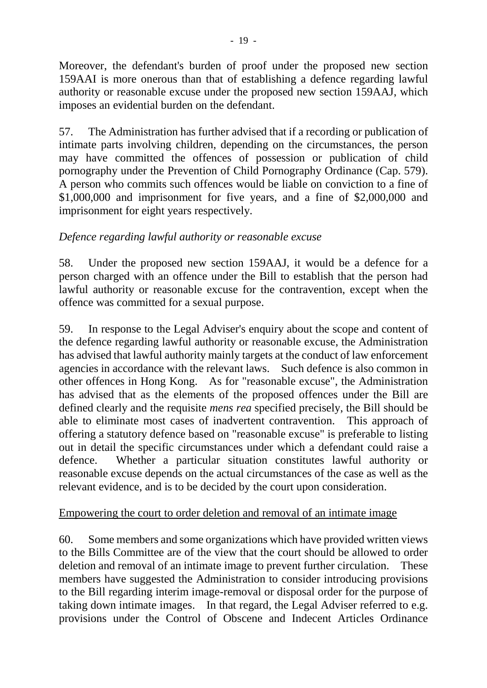Moreover, the defendant's burden of proof under the proposed new section 159AAI is more onerous than that of establishing a defence regarding lawful authority or reasonable excuse under the proposed new section 159AAJ, which imposes an evidential burden on the defendant.

57. The Administration has further advised that if a recording or publication of intimate parts involving children, depending on the circumstances, the person may have committed the offences of possession or publication of child pornography under the Prevention of Child Pornography Ordinance (Cap. 579). A person who commits such offences would be liable on conviction to a fine of \$1,000,000 and imprisonment for five years, and a fine of \$2,000,000 and imprisonment for eight years respectively.

# *Defence regarding lawful authority or reasonable excuse*

58. Under the proposed new section 159AAJ, it would be a defence for a person charged with an offence under the Bill to establish that the person had lawful authority or reasonable excuse for the contravention, except when the offence was committed for a sexual purpose.

59. In response to the Legal Adviser's enquiry about the scope and content of the defence regarding lawful authority or reasonable excuse, the Administration has advised that lawful authority mainly targets at the conduct of law enforcement agencies in accordance with the relevant laws. Such defence is also common in other offences in Hong Kong. As for "reasonable excuse", the Administration has advised that as the elements of the proposed offences under the Bill are defined clearly and the requisite *mens rea* specified precisely, the Bill should be able to eliminate most cases of inadvertent contravention. This approach of offering a statutory defence based on "reasonable excuse" is preferable to listing out in detail the specific circumstances under which a defendant could raise a defence. Whether a particular situation constitutes lawful authority or reasonable excuse depends on the actual circumstances of the case as well as the relevant evidence, and is to be decided by the court upon consideration.

# Empowering the court to order deletion and removal of an intimate image

60. Some members and some organizations which have provided written views to the Bills Committee are of the view that the court should be allowed to order deletion and removal of an intimate image to prevent further circulation. These members have suggested the Administration to consider introducing provisions to the Bill regarding interim image-removal or disposal order for the purpose of taking down intimate images. In that regard, the Legal Adviser referred to e.g. provisions under the Control of Obscene and Indecent Articles Ordinance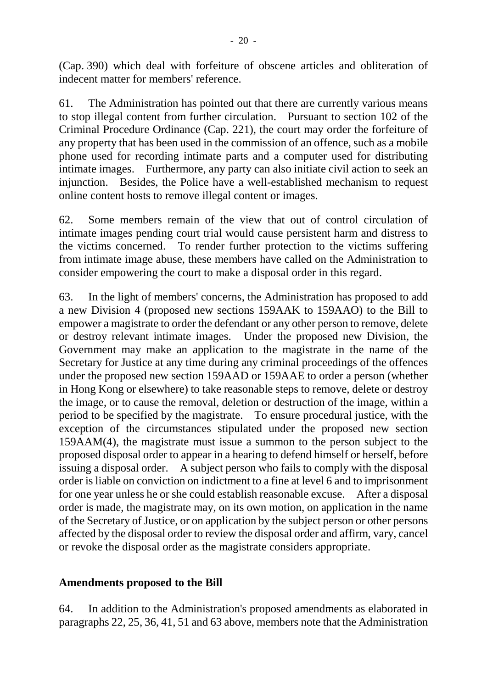(Cap. 390) which deal with forfeiture of obscene articles and obliteration of indecent matter for members' reference.

61. The Administration has pointed out that there are currently various means to stop illegal content from further circulation. Pursuant to section 102 of the Criminal Procedure Ordinance (Cap. 221), the court may order the forfeiture of any property that has been used in the commission of an offence, such as a mobile phone used for recording intimate parts and a computer used for distributing intimate images. Furthermore, any party can also initiate civil action to seek an injunction. Besides, the Police have a well-established mechanism to request online content hosts to remove illegal content or images.

62. Some members remain of the view that out of control circulation of intimate images pending court trial would cause persistent harm and distress to the victims concerned. To render further protection to the victims suffering from intimate image abuse, these members have called on the Administration to consider empowering the court to make a disposal order in this regard.

63. In the light of members' concerns, the Administration has proposed to add a new Division 4 (proposed new sections 159AAK to 159AAO) to the Bill to empower a magistrate to order the defendant or any other person to remove, delete or destroy relevant intimate images. Under the proposed new Division, the Government may make an application to the magistrate in the name of the Secretary for Justice at any time during any criminal proceedings of the offences under the proposed new section 159AAD or 159AAE to order a person (whether in Hong Kong or elsewhere) to take reasonable steps to remove, delete or destroy the image, or to cause the removal, deletion or destruction of the image, within a period to be specified by the magistrate. To ensure procedural justice, with the exception of the circumstances stipulated under the proposed new section 159AAM(4), the magistrate must issue a summon to the person subject to the proposed disposal order to appear in a hearing to defend himself or herself, before issuing a disposal order. A subject person who fails to comply with the disposal order is liable on conviction on indictment to a fine at level 6 and to imprisonment for one year unless he or she could establish reasonable excuse. After a disposal order is made, the magistrate may, on its own motion, on application in the name of the Secretary of Justice, or on application by the subject person or other persons affected by the disposal order to review the disposal order and affirm, vary, cancel or revoke the disposal order as the magistrate considers appropriate.

# **Amendments proposed to the Bill**

64. In addition to the Administration's proposed amendments as elaborated in paragraphs 22, 25, 36, 41, 51 and 63 above, members note that the Administration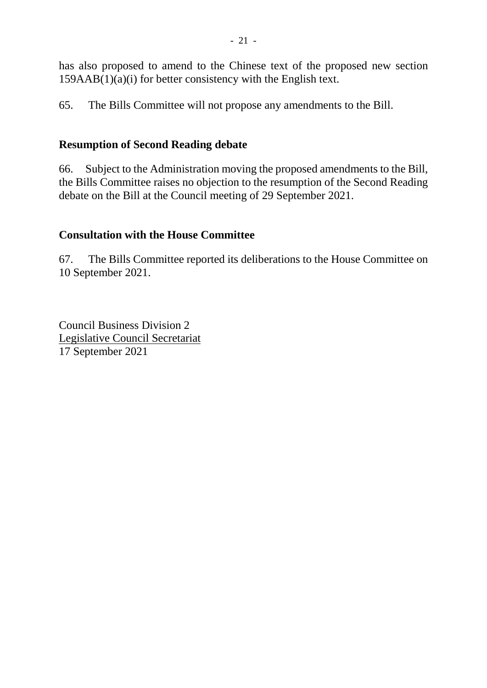has also proposed to amend to the Chinese text of the proposed new section  $159AAB(1)(a)(i)$  for better consistency with the English text.

65. The Bills Committee will not propose any amendments to the Bill.

# **Resumption of Second Reading debate**

66. Subject to the Administration moving the proposed amendments to the Bill, the Bills Committee raises no objection to the resumption of the Second Reading debate on the Bill at the Council meeting of 29 September 2021.

# **Consultation with the House Committee**

67. The Bills Committee reported its deliberations to the House Committee on 10 September 2021.

Council Business Division 2 Legislative Council Secretariat 17 September 2021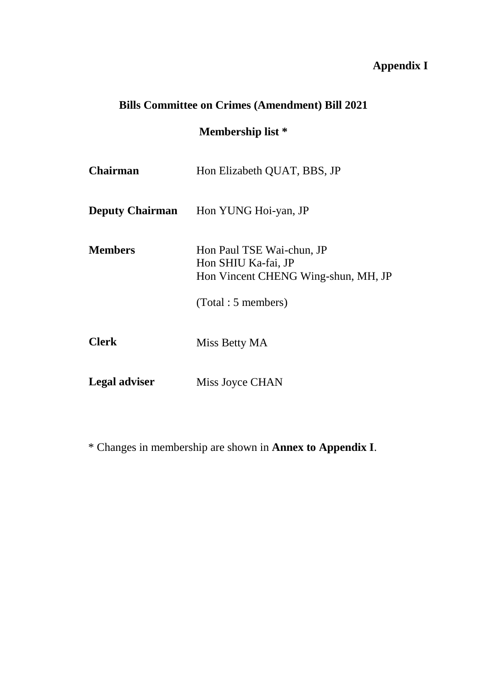# **Appendix I**

# **Bills Committee on Crimes (Amendment) Bill 2021**

# **Membership list \***

| <b>Chairman</b>        | Hon Elizabeth QUAT, BBS, JP                                                                                   |
|------------------------|---------------------------------------------------------------------------------------------------------------|
| <b>Deputy Chairman</b> | Hon YUNG Hoi-yan, JP                                                                                          |
| <b>Members</b>         | Hon Paul TSE Wai-chun, JP<br>Hon SHIU Ka-fai, JP<br>Hon Vincent CHENG Wing-shun, MH, JP<br>(Total: 5 members) |
| <b>Clerk</b>           | Miss Betty MA                                                                                                 |
| <b>Legal adviser</b>   | Miss Joyce CHAN                                                                                               |

\* Changes in membership are shown in **Annex to Appendix I**.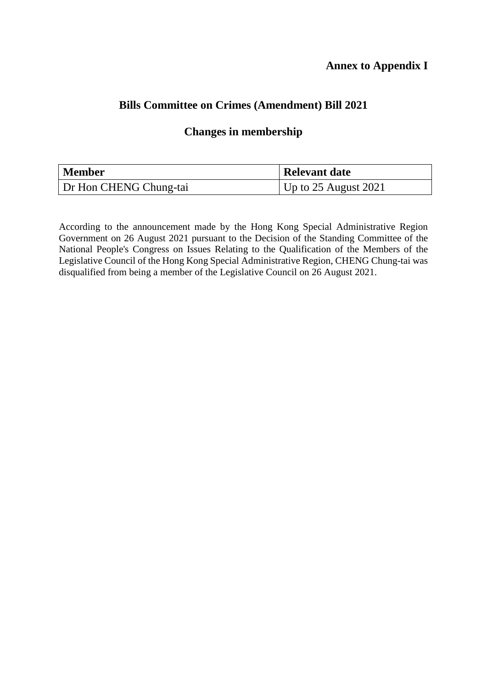# **Bills Committee on Crimes (Amendment) Bill 2021**

#### **Changes in membership**

| Member                 | <b>Relevant date</b>     |
|------------------------|--------------------------|
| Dr Hon CHENG Chung-tai | Up to $25$ August $2021$ |

According to the announcement made by the Hong Kong Special Administrative Region Government on 26 August 2021 pursuant to the Decision of the Standing Committee of the National People's Congress on Issues Relating to the Qualification of the Members of the Legislative Council of the Hong Kong Special Administrative Region, CHENG Chung-tai was disqualified from being a member of the Legislative Council on 26 August 2021.